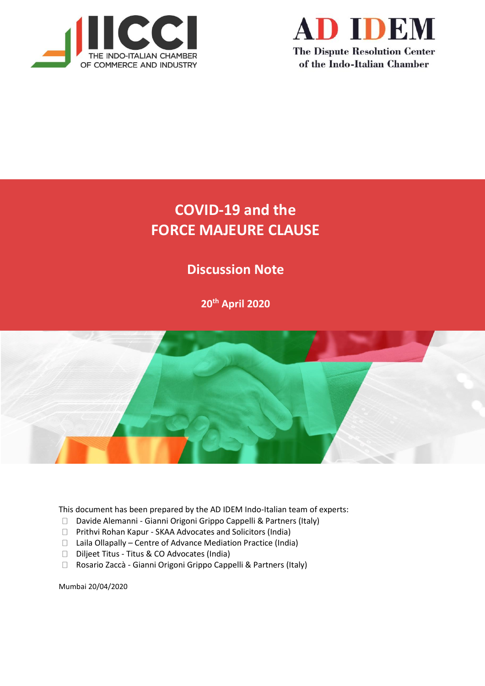



# **COVID-19 and the FORCE MAJEURE CLAUSE**

# **Discussion Note**

**20th April 2020**



This document has been prepared by the AD IDEM Indo-Italian team of experts:

- □ Davide Alemanni Gianni Origoni Grippo Cappelli & Partners (Italy)
- Prithvi Rohan Kapur SKAA Advocates and Solicitors (India)
- $\Box$  Laila Ollapally Centre of Advance Mediation Practice (India)
- Diljeet Titus Titus & CO Advocates (India)
- Rosario Zaccà Gianni Origoni Grippo Cappelli & Partners (Italy)

Mumbai 20/04/2020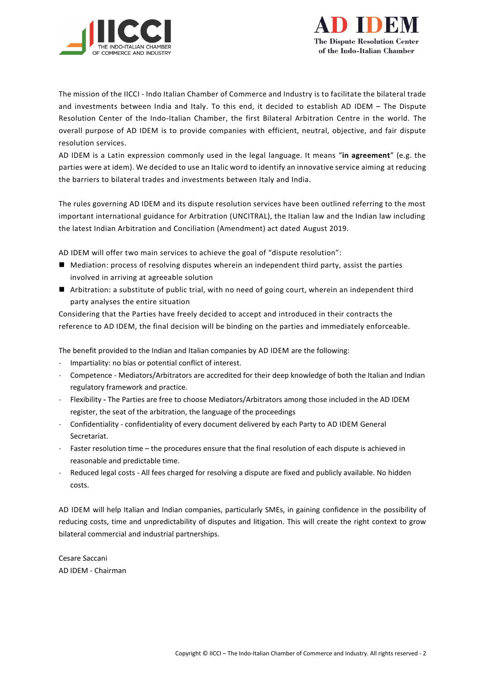



The mission of the IICCI - Indo Italian Chamber of Commerce and Industry is to facilitate the bilateral trade and investments between India and Italy. To this end, it decided to establish AD IDEM – The Dispute Resolution Center of the Indo-Italian Chamber, the first Bilateral Arbitration Centre in the world. The overall purpose of AD IDEM is to provide companies with efficient, neutral, objective, and fair dispute resolution services.

AD IDEM is a Latin expression commonly used in the legal language. It means "**in agreement**" (e.g. the parties were at idem). We decided to use an Italic word to identify an innovative service aiming at reducing the barriers to bilateral trades and investments between Italy and India.

The rules governing AD IDEM and its dispute resolution services have been outlined referring to the most important international guidance for Arbitration (UNCITRAL), the Italian law and the Indian law including the latest Indian Arbitration and Conciliation (Amendment) act dated August 2019.

AD IDEM will offer two main services to achieve the goal of "dispute resolution":

- Mediation: process of resolving disputes wherein an independent third party, assist the parties involved in arriving at agreeable solution
- Arbitration: a substitute of public trial, with no need of going court, wherein an independent third party analyses the entire situation

Considering that the Parties have freely decided to accept and introduced in their contracts the reference to AD IDEM, the final decision will be binding on the parties and immediately enforceable.

The benefit provided to the Indian and Italian companies by AD IDEM are the following:

- Impartiality: no bias or potential conflict of interest.
- Competence Mediators/Arbitrators are accredited for their deep knowledge of both the Italian and Indian regulatory framework and practice.
- Flexibility **-** The Parties are free to choose Mediators/Arbitrators among those included in the AD IDEM register, the seat of the arbitration, the language of the proceedings
- Confidentiality confidentiality of every document delivered by each Party to AD IDEM General Secretariat.
- Faster resolution time the procedures ensure that the final resolution of each dispute is achieved in reasonable and predictable time.
- Reduced legal costs All fees charged for resolving a dispute are fixed and publicly available. No hidden costs.

AD IDEM will help Italian and Indian companies, particularly SMEs, in gaining confidence in the possibility of reducing costs, time and unpredictability of disputes and litigation. This will create the right context to grow bilateral commercial and industrial partnerships.

Cesare Saccani AD IDEM - Chairman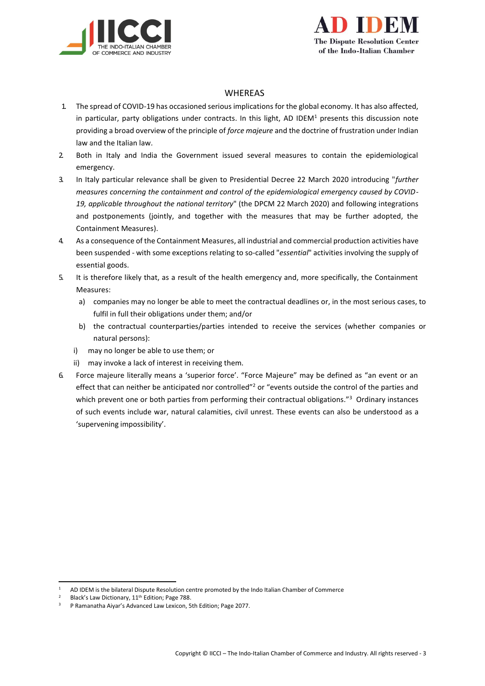



## WHEREAS

- 1. The spread of COVID-19 has occasioned serious implications for the global economy. It has also affected, in particular, party obligations under contracts. In this light, AD IDEM<sup>1</sup> presents this discussion note providing a broad overview of the principle of *force majeure* and the doctrine of frustration under Indian law and the Italian law.
- 2. Both in Italy and India the Government issued several measures to contain the epidemiological emergency.
- 3. In Italy particular relevance shall be given to Presidential Decree 22 March 2020 introducing "*further measures concerning the containment and control of the epidemiological emergency caused by COVID-19, applicable throughout the national territory*" (the DPCM 22 March 2020) and following integrations and postponements (jointly, and together with the measures that may be further adopted, the Containment Measures).
- 4. As a consequence of the Containment Measures, all industrial and commercial production activities have been suspended - with some exceptions relating to so-called "*essential*" activities involving the supply of essential goods.
- 5. It is therefore likely that, as a result of the health emergency and, more specifically, the Containment Measures:
	- a) companies may no longer be able to meet the contractual deadlines or, in the most serious cases, to fulfil in full their obligations under them; and/or
	- b) the contractual counterparties/parties intended to receive the services (whether companies or natural persons):
	- i) may no longer be able to use them; or
	- ii) may invoke a lack of interest in receiving them.
- 6. Force majeure literally means a 'superior force'. "Force Majeure" may be defined as "an event or an effect that can neither be anticipated nor controlled"<sup>2</sup> or "events outside the control of the parties and which prevent one or both parties from performing their contractual obligations."<sup>3</sup> Ordinary instances of such events include war, natural calamities, civil unrest. These events can also be understood as a 'supervening impossibility'.

<sup>1</sup> AD IDEM is the bilateral Dispute Resolution centre promoted by the Indo Italian Chamber of Commerce

<sup>&</sup>lt;sup>2</sup> Black's Law Dictionary,  $11^{th}$  Edition; Page 788.<br><sup>3</sup> P Ramanatha Aivar's Advanced Law Lexicon. 5

<sup>3</sup> P Ramanatha Aiyar's Advanced Law Lexicon, 5th Edition; Page 2077.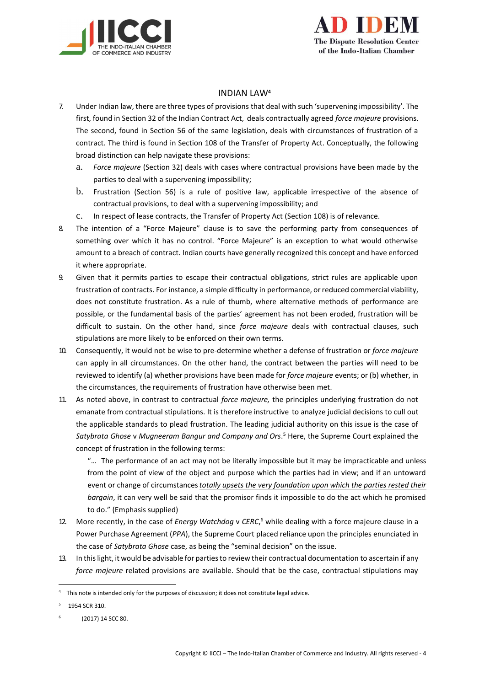



### INDIAN LAW**<sup>4</sup>**

- 7. Under Indian law, there are three types of provisions that deal with such 'supervening impossibility'. The first, found in Section 32 of the Indian Contract Act, deals contractually agreed *force majeure* provisions. The second, found in Section 56 of the same legislation, deals with circumstances of frustration of a contract. The third is found in Section 108 of the Transfer of Property Act. Conceptually, the following broad distinction can help navigate these provisions:
	- a. *Force majeure* (Section 32) deals with cases where contractual provisions have been made by the parties to deal with a supervening impossibility;
	- b. Frustration (Section 56) is a rule of positive law, applicable irrespective of the absence of contractual provisions, to deal with a supervening impossibility; and
	- c. In respect of lease contracts, the Transfer of Property Act (Section 108) is of relevance.
- 8. The intention of a "Force Majeure" clause is to save the performing party from consequences of something over which it has no control. "Force Majeure" is an exception to what would otherwise amount to a breach of contract. Indian courts have generally recognized this concept and have enforced it where appropriate.
- 9. Given that it permits parties to escape their contractual obligations, strict rules are applicable upon frustration of contracts. For instance, a simple difficulty in performance, orreduced commercial viability, does not constitute frustration. As a rule of thumb, where alternative methods of performance are possible, or the fundamental basis of the parties' agreement has not been eroded, frustration will be difficult to sustain. On the other hand, since *force majeure* deals with contractual clauses, such stipulations are more likely to be enforced on their own terms.
- 10. Consequently, it would not be wise to pre-determine whether a defense of frustration or *force majeure*  can apply in all circumstances. On the other hand, the contract between the parties will need to be reviewed to identify (a) whether provisions have been made for *force majeure* events; or (b) whether, in the circumstances, the requirements of frustration have otherwise been met.
- 11. As noted above, in contrast to contractual *force majeure,* the principles underlying frustration do not emanate from contractual stipulations. It is therefore instructive to analyze judicial decisions to cull out the applicable standards to plead frustration. The leading judicial authority on this issue is the case of *Satybrata Ghose* v *Mugneeram Bangur and Company and Ors*. <sup>5</sup> Here, the Supreme Court explained the concept of frustration in the following terms:

"… The performance of an act may not be literally impossible but it may be impracticable and unless from the point of view of the object and purpose which the parties had in view; and if an untoward event or change of circumstances*totally upsets the very foundation upon which the parties rested their bargain*, it can very well be said that the promisor finds it impossible to do the act which he promised to do." (Emphasis supplied)

- 12. More recently, in the case of *Energy Watchdog* v *CERC*, <sup>6</sup> while dealing with a force majeure clause in a Power Purchase Agreement (*PPA*), the Supreme Court placed reliance upon the principles enunciated in the case of *Satybrata Ghose* case, as being the "seminal decision" on the issue.
- 13. In thislight, it would be advisable for partiesto review their contractual documentation to ascertain if any *force majeure* related provisions are available. Should that be the case, contractual stipulations may

<sup>4</sup> This note is intended only for the purposes of discussion; it does not constitute legal advice.

<sup>5</sup> 1954 SCR 310.

<sup>6</sup> (2017) 14 SCC 80.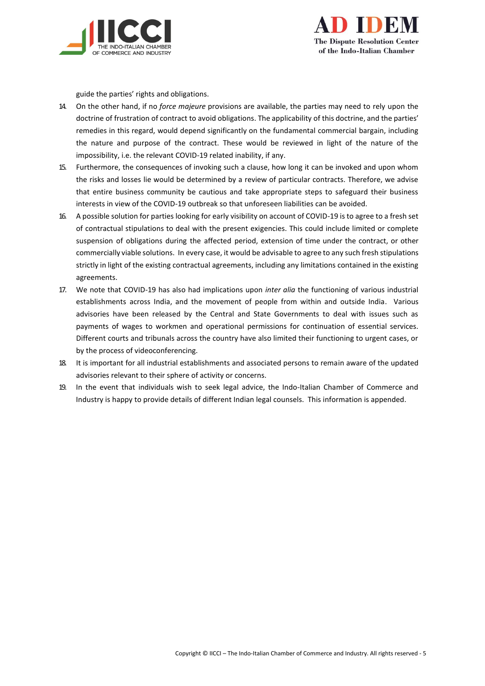



guide the parties' rights and obligations.

- 14. On the other hand, if no *force majeure* provisions are available, the parties may need to rely upon the doctrine of frustration of contract to avoid obligations. The applicability of this doctrine, and the parties' remedies in this regard, would depend significantly on the fundamental commercial bargain, including the nature and purpose of the contract. These would be reviewed in light of the nature of the impossibility, i.e. the relevant COVID-19 related inability, if any.
- 15. Furthermore, the consequences of invoking such a clause, how long it can be invoked and upon whom the risks and losses lie would be determined by a review of particular contracts. Therefore, we advise that entire business community be cautious and take appropriate steps to safeguard their business interests in view of the COVID-19 outbreak so that unforeseen liabilities can be avoided.
- 16. A possible solution for parties looking for early visibility on account of COVID-19 is to agree to a fresh set of contractual stipulations to deal with the present exigencies. This could include limited or complete suspension of obligations during the affected period, extension of time under the contract, or other commercially viable solutions. In every case, it would be advisable to agree to any such fresh stipulations strictly in light of the existing contractual agreements, including any limitations contained in the existing agreements.
- 17. We note that COVID-19 has also had implications upon *inter alia* the functioning of various industrial establishments across India, and the movement of people from within and outside India. Various advisories have been released by the Central and State Governments to deal with issues such as payments of wages to workmen and operational permissions for continuation of essential services. Different courts and tribunals across the country have also limited their functioning to urgent cases, or by the process of videoconferencing.
- 18. It is important for all industrial establishments and associated persons to remain aware of the updated advisories relevant to their sphere of activity or concerns.
- 19. In the event that individuals wish to seek legal advice, the Indo-Italian Chamber of Commerce and Industry is happy to provide details of different Indian legal counsels. This information is appended.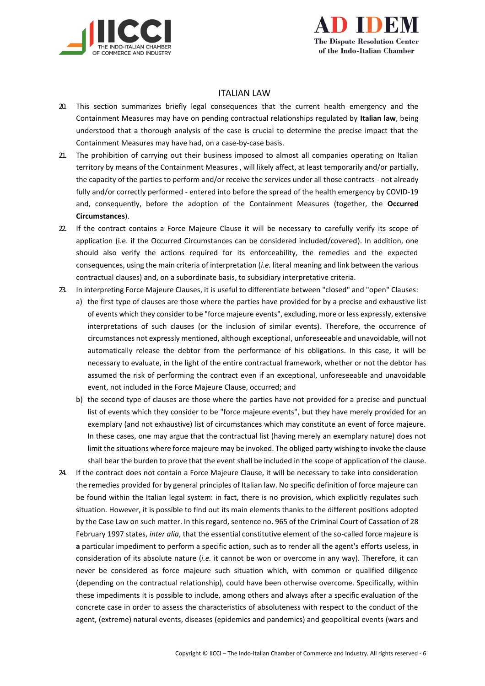



### ITALIAN LAW

- 20. This section summarizes briefly legal consequences that the current health emergency and the Containment Measures may have on pending contractual relationships regulated by **Italian law**, being understood that a thorough analysis of the case is crucial to determine the precise impact that the Containment Measures may have had, on a case-by-case basis.
- 21. The prohibition of carrying out their business imposed to almost all companies operating on Italian territory by means of the Containment Measures , will likely affect, at least temporarily and/or partially, the capacity of the parties to perform and/or receive the services under all those contracts - not already fully and/or correctly performed - entered into before the spread of the health emergency by COVID-19 and, consequently, before the adoption of the Containment Measures (together, the **Occurred Circumstances**).
- 22. If the contract contains a Force Majeure Clause it will be necessary to carefully verify its scope of application (i.e. if the Occurred Circumstances can be considered included/covered). In addition, one should also verify the actions required for its enforceability, the remedies and the expected consequences, using the main criteria of interpretation (*i.e.* literal meaning and link between the various contractual clauses) and, on a subordinate basis, to subsidiary interpretative criteria.
- 23. In interpreting Force Majeure Clauses, it is useful to differentiate between "closed" and "open" Clauses:
	- a) the first type of clauses are those where the parties have provided for by a precise and exhaustive list of events which they consider to be "force majeure events", excluding, more or less expressly, extensive interpretations of such clauses (or the inclusion of similar events). Therefore, the occurrence of circumstances not expressly mentioned, although exceptional, unforeseeable and unavoidable, will not automatically release the debtor from the performance of his obligations. In this case, it will be necessary to evaluate, in the light of the entire contractual framework, whether or not the debtor has assumed the risk of performing the contract even if an exceptional, unforeseeable and unavoidable event, not included in the Force Majeure Clause, occurred; and
	- b) the second type of clauses are those where the parties have not provided for a precise and punctual list of events which they consider to be "force majeure events", but they have merely provided for an exemplary (and not exhaustive) list of circumstances which may constitute an event of force majeure. In these cases, one may argue that the contractual list (having merely an exemplary nature) does not limit the situations where force majeure may be invoked. The obliged party wishing to invoke the clause shall bear the burden to prove that the event shall be included in the scope of application of the clause.
- 24. If the contract does not contain a Force Majeure Clause, it will be necessary to take into consideration the remedies provided for by general principles of Italian law. No specific definition of force majeure can be found within the Italian legal system: in fact, there is no provision, which explicitly regulates such situation. However, it is possible to find out its main elements thanks to the different positions adopted by the Case Law on such matter. In this regard, sentence no. 965 of the Criminal Court of Cassation of 28 February 1997 states, *inter alia*, that the essential constitutive element of the so-called force majeure is **a** particular impediment to perform a specific action, such as to render all the agent's efforts useless, in consideration of its absolute nature (*i.e.* it cannot be won or overcome in any way). Therefore, it can never be considered as force majeure such situation which, with common or qualified diligence (depending on the contractual relationship), could have been otherwise overcome. Specifically, within these impediments it is possible to include, among others and always after a specific evaluation of the concrete case in order to assess the characteristics of absoluteness with respect to the conduct of the agent, (extreme) natural events, diseases (epidemics and pandemics) and geopolitical events (wars and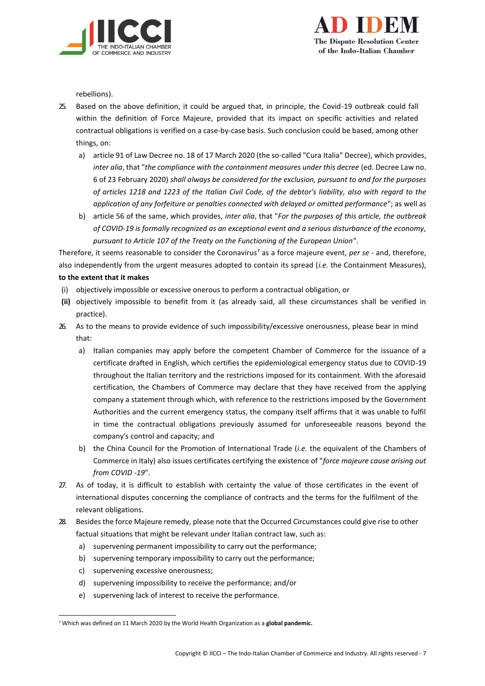



rebellions).

- 25. Based on the above definition, it could be argued that, in principle, the Covid-19 outbreak could fall within the definition of Force Majeure, provided that its impact on specific activities and related contractual obligations is verified on a case-by-case basis. Such conclusion could be based, among other things, on:
	- a) article 91 of Law Decree no. 18 of 17 March 2020 (the so-called "Cura Italia" Decree), which provides, *inter alia*, that "*the compliance with the containment measures under this decree* (ed. Decree Law no. 6 of 23 February 2020) *shall always be considered for the exclusion, pursuant to and for the purposes of articles 1218 and 1223 of the Italian Civil Code, of the debtor's liability, also with regard to the application of any forfeiture or penalties connected with delayed or omitted performance*"; as well as
	- b) article 56 of the same, which provides, *inter alia*, that "*For the purposes of this article, the outbreak of COVID-19 is formally recognized as an exceptional event and a serious disturbance of the economy, pursuant to Article 107 of the Treaty on the Functioning of the European Union*".

Therefore, it seems reasonable to consider the Coronavirus<sup>7</sup> as a force majeure event, *per se* - and, therefore, also independently from the urgent measures adopted to contain its spread (*i.e.* the Containment Measures), **to the extent that it makes** 

- (i) objectively impossible or excessive onerous to perform a contractual obligation, or
- **(ii)** objectively impossible to benefit from it (as already said, all these circumstances shall be verified in practice).
- 26. As to the means to provide evidence of such impossibility/excessive onerousness, please bear in mind that:
	- a) Italian companies may apply before the competent Chamber of Commerce for the issuance of a certificate drafted in English, which certifies the epidemiological emergency status due to COVID-19 throughout the Italian territory and the restrictions imposed for its containment. With the aforesaid certification, the Chambers of Commerce may declare that they have received from the applying company a statement through which, with reference to the restrictions imposed by the Government Authorities and the current emergency status, the company itself affirms that it was unable to fulfil in time the contractual obligations previously assumed for unforeseeable reasons beyond the company's control and capacity; and
	- b) the China Council for the Promotion of International Trade (*i.e.* the equivalent of the Chambers of Commerce in Italy) also issues certificates certifying the existence of "*force majeure cause arising out from COVID -19*".
- 27. As of today, it is difficult to establish with certainty the value of those certificates in the event of international disputes concerning the compliance of contracts and the terms for the fulfilment of the relevant obligations.
- 28. Besides the force Majeure remedy, please note that the Occurred Circumstances could give rise to other factual situations that might be relevant under Italian contract law, such as:
	- a) supervening permanent impossibility to carry out the performance;
	- b) supervening temporary impossibility to carry out the performance;
	- c) supervening excessive onerousness;
	- d) supervening impossibility to receive the performance; and/or
	- e) supervening lack of interest to receive the performance.

<sup>7</sup> Which was defined on 11 March 2020 by the World Health Organization as a **global pandemic.**